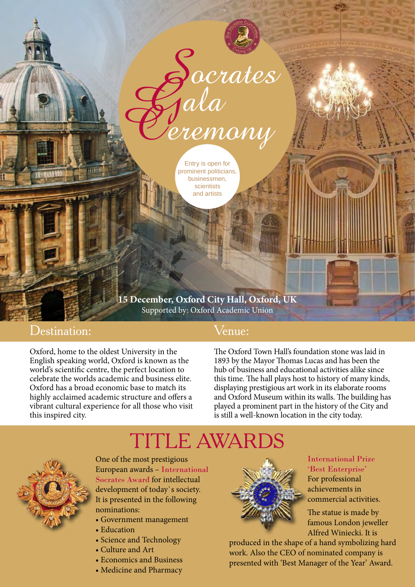

Entry is open for prominent politicians, businessmen, scientists and artists

**15 December, Oxford City Hall, Oxford, UK** Supported by: Oxford Academic Union

## Destination:

Oxford, home to the oldest University in the English speaking world, Oxford is known as the world's scientific centre, the perfect location to celebrate the worlds academic and business elite. Oxford has a broad economic base to match its highly acclaimed academic structure and offers a vibrant cultural experience for all those who visit this inspired city.

## Venue:

The Oxford Town Hall's foundation stone was laid in 1893 by the Mayor Thomas Lucas and has been the hub of business and educational activities alike since this time. The hall plays host to history of many kinds, displaying prestigious art work in its elaborate rooms and Oxford Museum within its walls. The building has played a prominent part in the history of the City and is still a well-known location in the city today.



development of today`s society. It is presented in the following nominations:

- Government management
- Education
- Science and Technology
- Culture and Art
- Economics and Business
- Medicine and Pharmacy



International Prize 'Best Enterprise' For professional achievements in commercial activities.

Alfred Winiecki. It is The statue is made by famous London jeweller

produced in the shape of a hand symbolizing hard  $\;$ work. Also the CEO of nominated company is presented with 'Best Manager of the Year' Award.